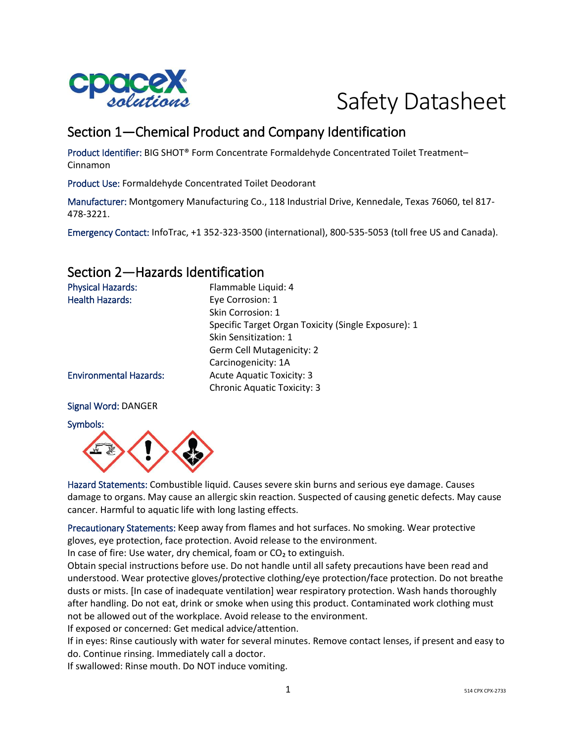



# Section 1—Chemical Product and Company Identification

Product Identifier: BIG SHOT® Form Concentrate Formaldehyde Concentrated Toilet Treatment– Cinnamon

Product Use: Formaldehyde Concentrated Toilet Deodorant

Manufacturer: Montgomery Manufacturing Co., 118 Industrial Drive, Kennedale, Texas 76060, tel 817- 478-3221.

Emergency Contact: InfoTrac, +1 352-323-3500 (international), 800-535-5053 (toll free US and Canada).

## Section 2—Hazards Identification

| <b>Physical Hazards:</b>      | Flammable Liquid: 4                                 |
|-------------------------------|-----------------------------------------------------|
| <b>Health Hazards:</b>        | Eye Corrosion: 1                                    |
|                               | Skin Corrosion: 1                                   |
|                               | Specific Target Organ Toxicity (Single Exposure): 1 |
|                               | <b>Skin Sensitization: 1</b>                        |
|                               | Germ Cell Mutagenicity: 2                           |
|                               | Carcinogenicity: 1A                                 |
| <b>Environmental Hazards:</b> | <b>Acute Aquatic Toxicity: 3</b>                    |
|                               | <b>Chronic Aquatic Toxicity: 3</b>                  |
|                               |                                                     |

#### Signal Word: DANGER

Symbols:



Hazard Statements: Combustible liquid. Causes severe skin burns and serious eye damage. Causes damage to organs. May cause an allergic skin reaction. Suspected of causing genetic defects. May cause cancer. Harmful to aquatic life with long lasting effects.

Precautionary Statements: Keep away from flames and hot surfaces. No smoking. Wear protective gloves, eye protection, face protection. Avoid release to the environment. In case of fire: Use water, dry chemical, foam or  $CO<sub>2</sub>$  to extinguish.

Obtain special instructions before use. Do not handle until all safety precautions have been read and understood. Wear protective gloves/protective clothing/eye protection/face protection. Do not breathe dusts or mists. [In case of inadequate ventilation] wear respiratory protection. Wash hands thoroughly after handling. Do not eat, drink or smoke when using this product. Contaminated work clothing must not be allowed out of the workplace. Avoid release to the environment.

If exposed or concerned: Get medical advice/attention.

If in eyes: Rinse cautiously with water for several minutes. Remove contact lenses, if present and easy to do. Continue rinsing. Immediately call a doctor.

If swallowed: Rinse mouth. Do NOT induce vomiting.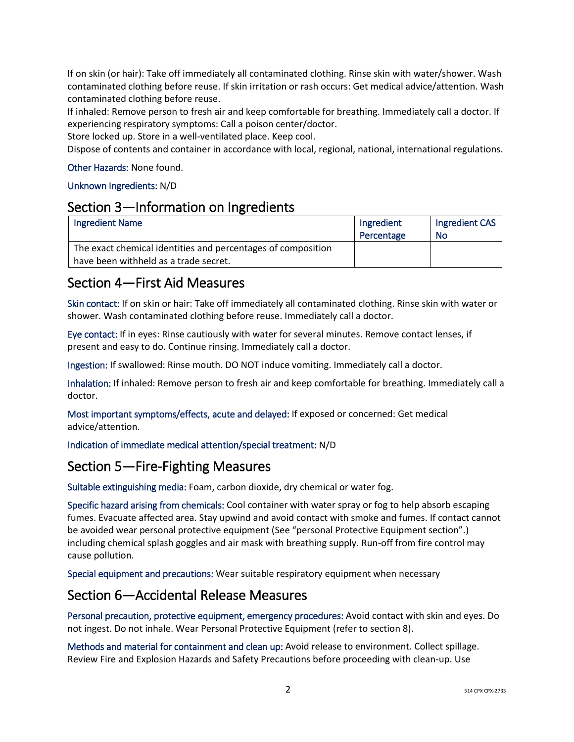If on skin (or hair): Take off immediately all contaminated clothing. Rinse skin with water/shower. Wash contaminated clothing before reuse. If skin irritation or rash occurs: Get medical advice/attention. Wash contaminated clothing before reuse.

If inhaled: Remove person to fresh air and keep comfortable for breathing. Immediately call a doctor. If experiencing respiratory symptoms: Call a poison center/doctor.

Store locked up. Store in a well-ventilated place. Keep cool.

Dispose of contents and container in accordance with local, regional, national, international regulations.

#### Other Hazards: None found.

#### Unknown Ingredients: N/D

### Section 3—Information on Ingredients

| <b>Ingredient Name</b>                                       | Ingredient<br>Percentage | Ingredient CAS<br>No |
|--------------------------------------------------------------|--------------------------|----------------------|
| The exact chemical identities and percentages of composition |                          |                      |
| have been withheld as a trade secret.                        |                          |                      |

## Section 4—First Aid Measures

Skin contact: If on skin or hair: Take off immediately all contaminated clothing. Rinse skin with water or shower. Wash contaminated clothing before reuse. Immediately call a doctor.

Eye contact: If in eyes: Rinse cautiously with water for several minutes. Remove contact lenses, if present and easy to do. Continue rinsing. Immediately call a doctor.

Ingestion: If swallowed: Rinse mouth. DO NOT induce vomiting. Immediately call a doctor.

Inhalation: If inhaled: Remove person to fresh air and keep comfortable for breathing. Immediately call a doctor.

Most important symptoms/effects, acute and delayed: If exposed or concerned: Get medical advice/attention.

Indication of immediate medical attention/special treatment: N/D

## Section 5—Fire-Fighting Measures

Suitable extinguishing media: Foam, carbon dioxide, dry chemical or water fog.

Specific hazard arising from chemicals: Cool container with water spray or fog to help absorb escaping fumes. Evacuate affected area. Stay upwind and avoid contact with smoke and fumes. If contact cannot be avoided wear personal protective equipment (See "personal Protective Equipment section".) including chemical splash goggles and air mask with breathing supply. Run-off from fire control may cause pollution.

Special equipment and precautions: Wear suitable respiratory equipment when necessary

### Section 6—Accidental Release Measures

Personal precaution, protective equipment, emergency procedures: Avoid contact with skin and eyes. Do not ingest. Do not inhale. Wear Personal Protective Equipment (refer to section 8).

Methods and material for containment and clean up: Avoid release to environment. Collect spillage. Review Fire and Explosion Hazards and Safety Precautions before proceeding with clean-up. Use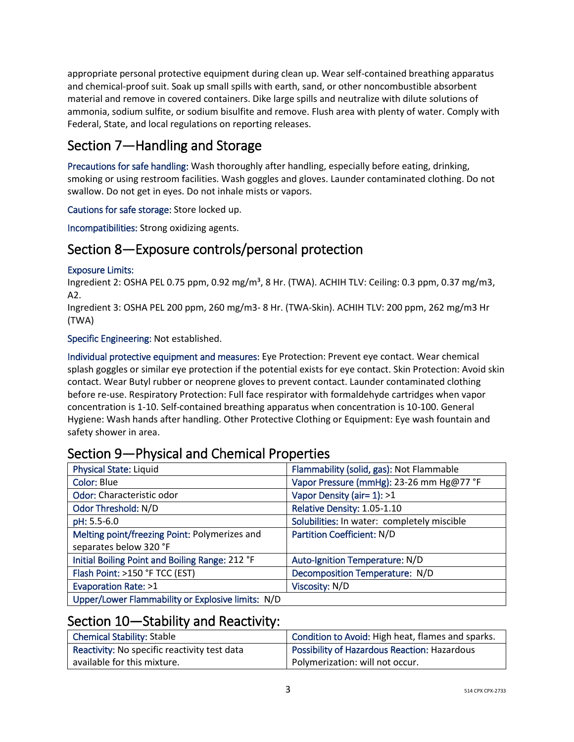appropriate personal protective equipment during clean up. Wear self-contained breathing apparatus and chemical-proof suit. Soak up small spills with earth, sand, or other noncombustible absorbent material and remove in covered containers. Dike large spills and neutralize with dilute solutions of ammonia, sodium sulfite, or sodium bisulfite and remove. Flush area with plenty of water. Comply with Federal, State, and local regulations on reporting releases.

# Section 7—Handling and Storage

Precautions for safe handling: Wash thoroughly after handling, especially before eating, drinking, smoking or using restroom facilities. Wash goggles and gloves. Launder contaminated clothing. Do not swallow. Do not get in eyes. Do not inhale mists or vapors.

Cautions for safe storage: Store locked up.

Incompatibilities: Strong oxidizing agents.

## Section 8—Exposure controls/personal protection

#### Exposure Limits:

Ingredient 2: OSHA PEL 0.75 ppm, 0.92 mg/m<sup>3</sup>, 8 Hr. (TWA). ACHIH TLV: Ceiling: 0.3 ppm, 0.37 mg/m3, A2.

Ingredient 3: OSHA PEL 200 ppm, 260 mg/m3- 8 Hr. (TWA-Skin). ACHIH TLV: 200 ppm, 262 mg/m3 Hr (TWA)

Specific Engineering: Not established.

Individual protective equipment and measures: Eye Protection: Prevent eye contact. Wear chemical splash goggles or similar eye protection if the potential exists for eye contact. Skin Protection: Avoid skin contact. Wear Butyl rubber or neoprene gloves to prevent contact. Launder contaminated clothing before re-use. Respiratory Protection: Full face respirator with formaldehyde cartridges when vapor concentration is 1-10. Self-contained breathing apparatus when concentration is 10-100. General Hygiene: Wash hands after handling. Other Protective Clothing or Equipment: Eye wash fountain and safety shower in area.

### Section 9—Physical and Chemical Properties

| <b>Physical State: Liquid</b>                     | Flammability (solid, gas): Not Flammable    |
|---------------------------------------------------|---------------------------------------------|
| Color: Blue                                       | Vapor Pressure (mmHg): 23-26 mm Hg@77 °F    |
| Odor: Characteristic odor                         | Vapor Density (air= 1): >1                  |
| Odor Threshold: N/D                               | Relative Density: 1.05-1.10                 |
| pH: 5.5-6.0                                       | Solubilities: In water: completely miscible |
| Melting point/freezing Point: Polymerizes and     | Partition Coefficient: N/D                  |
| separates below 320 °F                            |                                             |
| Initial Boiling Point and Boiling Range: 212 °F   | Auto-Ignition Temperature: N/D              |
| Flash Point: >150 °F TCC (EST)                    | Decomposition Temperature: N/D              |
| Evaporation Rate: >1                              | Viscosity: N/D                              |
| Upper/Lower Flammability or Explosive limits: N/D |                                             |

## Section 10—Stability and Reactivity:

| Chemical Stability: Stable                   | Condition to Avoid: High heat, flames and sparks. |
|----------------------------------------------|---------------------------------------------------|
| Reactivity: No specific reactivity test data | Possibility of Hazardous Reaction: Hazardous      |
| available for this mixture.                  | Polymerization: will not occur.                   |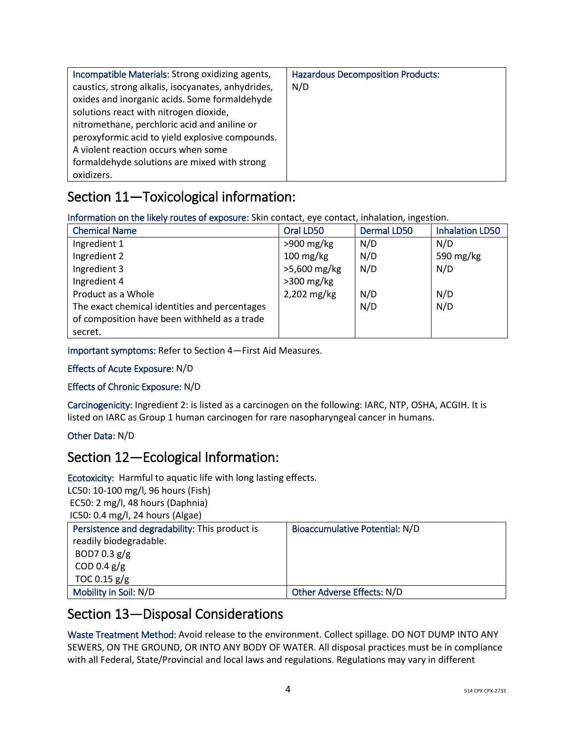| Incompatible Materials: Strong oxidizing agents,   | <b>Hazardous Decomposition Products:</b> |
|----------------------------------------------------|------------------------------------------|
| caustics, strong alkalis, isocyanates, anhydrides, | N/D                                      |
| oxides and inorganic acids. Some formaldehyde      |                                          |
| solutions react with nitrogen dioxide,             |                                          |
| nitromethane, perchloric acid and aniline or       |                                          |
| peroxyformic acid to yield explosive compounds.    |                                          |
| A violent reaction occurs when some                |                                          |
| formaldehyde solutions are mixed with strong       |                                          |
| oxidizers.                                         |                                          |

# Section 11—Toxicological information:

Information on the likely routes of exposure: Skin contact, eye contact, inhalation, ingestion.

| <b>Chemical Name</b>                          | Oral LD50           | <b>Dermal LD50</b> | <b>Inhalation LD50</b> |
|-----------------------------------------------|---------------------|--------------------|------------------------|
| Ingredient 1                                  | $>900$ mg/kg        | N/D                | N/D                    |
| Ingredient 2                                  | $100 \text{ mg/kg}$ | N/D                | 590 mg/kg              |
| Ingredient 3                                  | >5,600 mg/kg        | N/D                | N/D                    |
| Ingredient 4                                  | $>300$ mg/kg        |                    |                        |
| Product as a Whole                            | 2,202 mg/kg         | N/D                | N/D                    |
| The exact chemical identities and percentages |                     | N/D                | N/D                    |
| of composition have been withheld as a trade  |                     |                    |                        |
| secret.                                       |                     |                    |                        |

Important symptoms: Refer to Section 4—First Aid Measures.

#### Effects of Acute Exposure: N/D

### Effects of Chronic Exposure: N/D

Carcinogenicity: Ingredient 2: is listed as a carcinogen on the following: IARC, NTP, OSHA, ACGIH. It is listed on IARC as Group 1 human carcinogen for rare nasopharyngeal cancer in humans.

### Other Data: N/D

## Section 12—Ecological Information:

Ecotoxicity: Harmful to aquatic life with long lasting effects.

LC50: 10-100 mg/l, 96 hours (Fish) EC50: 2 mg/l, 48 hours (Daphnia) IC50: 0.4 mg/l, 24 hours (Algae)

| $\frac{1}{2}$                                  |                                |
|------------------------------------------------|--------------------------------|
| Persistence and degradability: This product is | Bioaccumulative Potential: N/D |
| readily biodegradable.                         |                                |
| BOD7 0.3 $g/g$                                 |                                |
| COD 0.4 $g/g$                                  |                                |
| TOC 0.15 $g/g$                                 |                                |
| Mobility in Soil: N/D                          | Other Adverse Effects: N/D     |

## Section 13—Disposal Considerations

Waste Treatment Method: Avoid release to the environment. Collect spillage. DO NOT DUMP INTO ANY SEWERS, ON THE GROUND, OR INTO ANY BODY OF WATER. All disposal practices must be in compliance with all Federal, State/Provincial and local laws and regulations. Regulations may vary in different